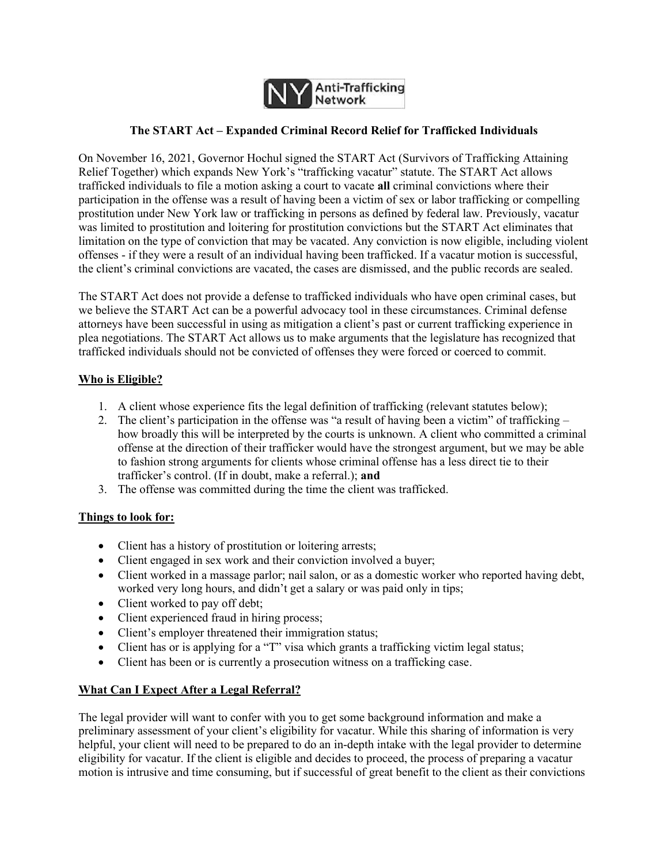

## **The START Act – Expanded Criminal Record Relief for Trafficked Individuals**

On November 16, 2021, Governor Hochul signed the START Act (Survivors of Trafficking Attaining Relief Together) which expands New York's "trafficking vacatur" statute. The START Act allows trafficked individuals to file a motion asking a court to vacate **all** criminal convictions where their participation in the offense was a result of having been a victim of sex or labor trafficking or compelling prostitution under New York law or trafficking in persons as defined by federal law. Previously, vacatur was limited to prostitution and loitering for prostitution convictions but the START Act eliminates that limitation on the type of conviction that may be vacated. Any conviction is now eligible, including violent offenses - if they were a result of an individual having been trafficked. If a vacatur motion is successful, the client's criminal convictions are vacated, the cases are dismissed, and the public records are sealed.

The START Act does not provide a defense to trafficked individuals who have open criminal cases, but we believe the START Act can be a powerful advocacy tool in these circumstances. Criminal defense attorneys have been successful in using as mitigation a client's past or current trafficking experience in plea negotiations. The START Act allows us to make arguments that the legislature has recognized that trafficked individuals should not be convicted of offenses they were forced or coerced to commit.

#### **Who is Eligible?**

- 1. A client whose experience fits the legal definition of trafficking (relevant statutes below);
- 2. The client's participation in the offense was "a result of having been a victim" of trafficking how broadly this will be interpreted by the courts is unknown. A client who committed a criminal offense at the direction of their trafficker would have the strongest argument, but we may be able to fashion strong arguments for clients whose criminal offense has a less direct tie to their trafficker's control. (If in doubt, make a referral.); **and**
- 3. The offense was committed during the time the client was trafficked.

#### **Things to look for:**

- Client has a history of prostitution or loitering arrests;
- Client engaged in sex work and their conviction involved a buyer;
- Client worked in a massage parlor; nail salon, or as a domestic worker who reported having debt, worked very long hours, and didn't get a salary or was paid only in tips;
- Client worked to pay off debt;
- Client experienced fraud in hiring process;
- Client's employer threatened their immigration status;
- Client has or is applying for a "T" visa which grants a trafficking victim legal status;
- Client has been or is currently a prosecution witness on a trafficking case.

#### **What Can I Expect After a Legal Referral?**

The legal provider will want to confer with you to get some background information and make a preliminary assessment of your client's eligibility for vacatur. While this sharing of information is very helpful, your client will need to be prepared to do an in-depth intake with the legal provider to determine eligibility for vacatur. If the client is eligible and decides to proceed, the process of preparing a vacatur motion is intrusive and time consuming, but if successful of great benefit to the client as their convictions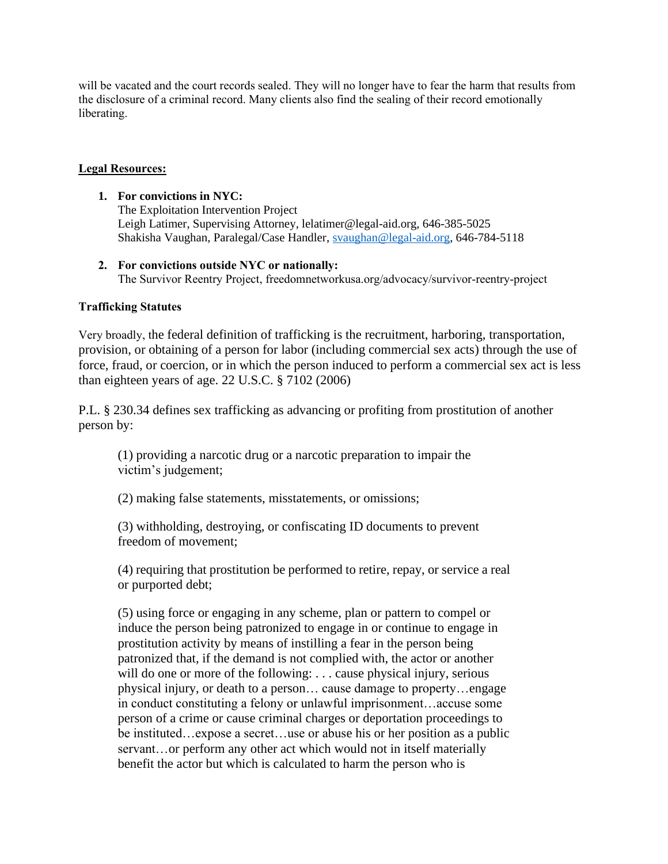will be vacated and the court records sealed. They will no longer have to fear the harm that results from the disclosure of a criminal record. Many clients also find the sealing of their record emotionally liberating.

### **Legal Resources:**

**1. For convictions in NYC:** The Exploitation Intervention Project Leigh Latimer, Supervising Attorney, lelatimer@legal-aid.org, 646-385-5025 Shakisha Vaughan, Paralegal/Case Handler[, svaughan@legal-aid.org,](mailto:svaughan@legal-aid.org) 646-784-5118

# **2. For convictions outside NYC or nationally:**

The Survivor Reentry Project, freedomnetworkusa.org/advocacy/survivor-reentry-project

# **Trafficking Statutes**

Very broadly, the federal definition of trafficking is the recruitment, harboring, transportation, provision, or obtaining of a person for labor (including commercial sex acts) through the use of force, fraud, or coercion, or in which the person induced to perform a commercial sex act is less than eighteen years of age. 22 U.S.C. § 7102 (2006)

P.L. § 230.34 defines sex trafficking as advancing or profiting from prostitution of another person by:

(1) providing a narcotic drug or a narcotic preparation to impair the victim's judgement;

(2) making false statements, misstatements, or omissions;

(3) withholding, destroying, or confiscating ID documents to prevent freedom of movement;

(4) requiring that prostitution be performed to retire, repay, or service a real or purported debt;

(5) using force or engaging in any scheme, plan or pattern to compel or induce the person being patronized to engage in or continue to engage in prostitution activity by means of instilling a fear in the person being patronized that, if the demand is not complied with, the actor or another will do one or more of the following: ... cause physical injury, serious physical injury, or death to a person… cause damage to property…engage in conduct constituting a felony or unlawful imprisonment…accuse some person of a crime or cause criminal charges or deportation proceedings to be instituted…expose a secret…use or abuse his or her position as a public servant...or perform any other act which would not in itself materially benefit the actor but which is calculated to harm the person who is